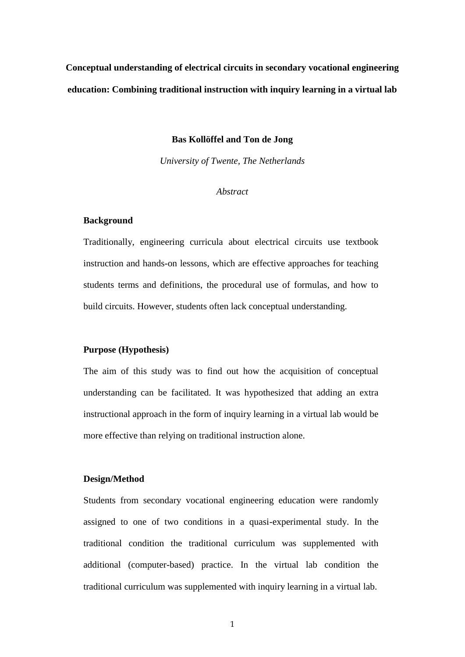**Conceptual understanding of electrical circuits in secondary vocational engineering education: Combining traditional instruction with inquiry learning in a virtual lab**

#### **Bas Kollöffel and Ton de Jong**

*University of Twente, The Netherlands*

# *Abstract*

# **Background**

Traditionally, engineering curricula about electrical circuits use textbook instruction and hands-on lessons, which are effective approaches for teaching students terms and definitions, the procedural use of formulas, and how to build circuits. However, students often lack conceptual understanding.

## **Purpose (Hypothesis)**

The aim of this study was to find out how the acquisition of conceptual understanding can be facilitated. It was hypothesized that adding an extra instructional approach in the form of inquiry learning in a virtual lab would be more effective than relying on traditional instruction alone.

## **Design/Method**

Students from secondary vocational engineering education were randomly assigned to one of two conditions in a quasi-experimental study. In the traditional condition the traditional curriculum was supplemented with additional (computer-based) practice. In the virtual lab condition the traditional curriculum was supplemented with inquiry learning in a virtual lab.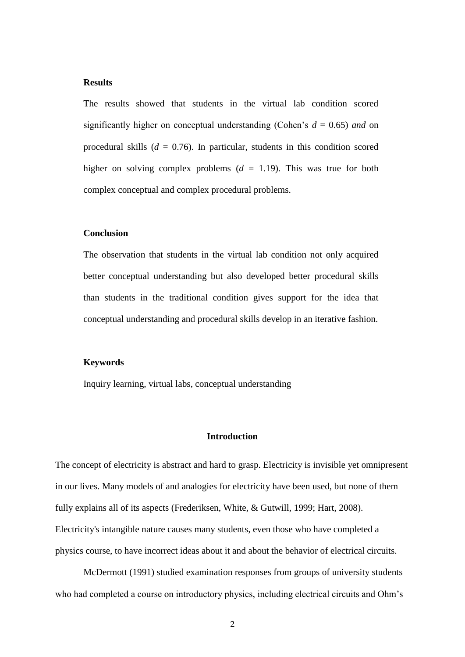# **Results**

The results showed that students in the virtual lab condition scored significantly higher on conceptual understanding (Cohen's  $d = 0.65$ ) *and* on procedural skills  $(d = 0.76)$ . In particular, students in this condition scored higher on solving complex problems  $(d = 1.19)$ . This was true for both complex conceptual and complex procedural problems.

#### **Conclusion**

The observation that students in the virtual lab condition not only acquired better conceptual understanding but also developed better procedural skills than students in the traditional condition gives support for the idea that conceptual understanding and procedural skills develop in an iterative fashion.

#### **Keywords**

Inquiry learning, virtual labs, conceptual understanding

## **Introduction**

The concept of electricity is abstract and hard to grasp. Electricity is invisible yet omnipresent in our lives. Many models of and analogies for electricity have been used, but none of them fully explains all of its aspects (Frederiksen, White, & Gutwill, 1999; Hart, 2008). Electricity's intangible nature causes many students, even those who have completed a physics course, to have incorrect ideas about it and about the behavior of electrical circuits.

McDermott (1991) studied examination responses from groups of university students who had completed a course on introductory physics, including electrical circuits and Ohm's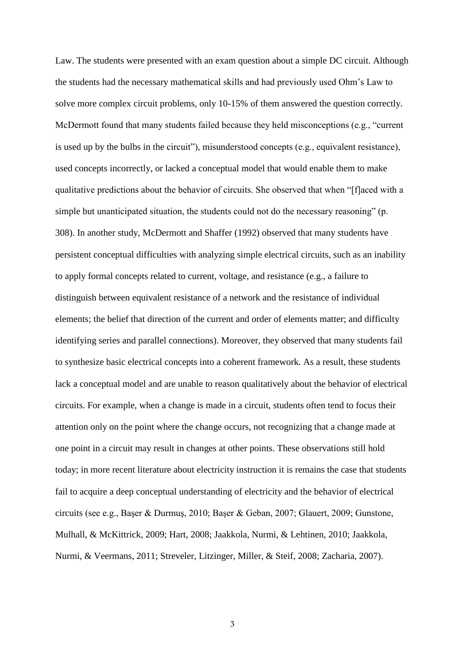Law. The students were presented with an exam question about a simple DC circuit. Although the students had the necessary mathematical skills and had previously used Ohm's Law to solve more complex circuit problems, only 10-15% of them answered the question correctly. McDermott found that many students failed because they held misconceptions (e.g., "current is used up by the bulbs in the circuit"), misunderstood concepts (e.g., equivalent resistance), used concepts incorrectly, or lacked a conceptual model that would enable them to make qualitative predictions about the behavior of circuits. She observed that when "[f]aced with a simple but unanticipated situation, the students could not do the necessary reasoning" (p. 308). In another study, McDermott and Shaffer (1992) observed that many students have persistent conceptual difficulties with analyzing simple electrical circuits, such as an inability to apply formal concepts related to current, voltage, and resistance (e.g., a failure to distinguish between equivalent resistance of a network and the resistance of individual elements; the belief that direction of the current and order of elements matter; and difficulty identifying series and parallel connections). Moreover, they observed that many students fail to synthesize basic electrical concepts into a coherent framework. As a result, these students lack a conceptual model and are unable to reason qualitatively about the behavior of electrical circuits. For example, when a change is made in a circuit, students often tend to focus their attention only on the point where the change occurs, not recognizing that a change made at one point in a circuit may result in changes at other points. These observations still hold today; in more recent literature about electricity instruction it is remains the case that students fail to acquire a deep conceptual understanding of electricity and the behavior of electrical circuits (see e.g., Başer & Durmuş, 2010; Başer & Geban, 2007; Glauert, 2009; Gunstone, Mulhall, & McKittrick, 2009; Hart, 2008; Jaakkola, Nurmi, & Lehtinen, 2010; Jaakkola, Nurmi, & Veermans, 2011; Streveler, Litzinger, Miller, & Steif, 2008; Zacharia, 2007).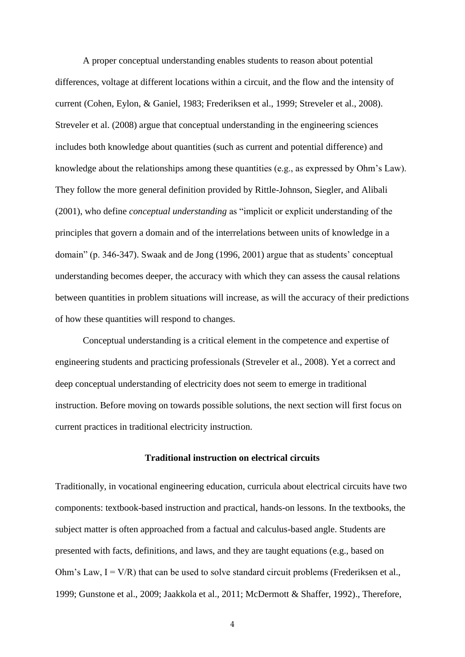A proper conceptual understanding enables students to reason about potential differences, voltage at different locations within a circuit, and the flow and the intensity of current (Cohen, Eylon, & Ganiel, 1983; Frederiksen et al., 1999; Streveler et al., 2008). Streveler et al. (2008) argue that conceptual understanding in the engineering sciences includes both knowledge about quantities (such as current and potential difference) and knowledge about the relationships among these quantities (e.g., as expressed by Ohm's Law). They follow the more general definition provided by Rittle-Johnson, Siegler, and Alibali (2001), who define *conceptual understanding* as "implicit or explicit understanding of the principles that govern a domain and of the interrelations between units of knowledge in a domain" (p. 346-347). Swaak and de Jong (1996, 2001) argue that as students' conceptual understanding becomes deeper, the accuracy with which they can assess the causal relations between quantities in problem situations will increase, as will the accuracy of their predictions of how these quantities will respond to changes.

Conceptual understanding is a critical element in the competence and expertise of engineering students and practicing professionals (Streveler et al., 2008). Yet a correct and deep conceptual understanding of electricity does not seem to emerge in traditional instruction. Before moving on towards possible solutions, the next section will first focus on current practices in traditional electricity instruction.

## **Traditional instruction on electrical circuits**

Traditionally, in vocational engineering education, curricula about electrical circuits have two components: textbook-based instruction and practical, hands-on lessons. In the textbooks, the subject matter is often approached from a factual and calculus-based angle. Students are presented with facts, definitions, and laws, and they are taught equations (e.g., based on Ohm's Law,  $I = V/R$ ) that can be used to solve standard circuit problems (Frederiksen et al., 1999; Gunstone et al., 2009; Jaakkola et al., 2011; McDermott & Shaffer, 1992)., Therefore,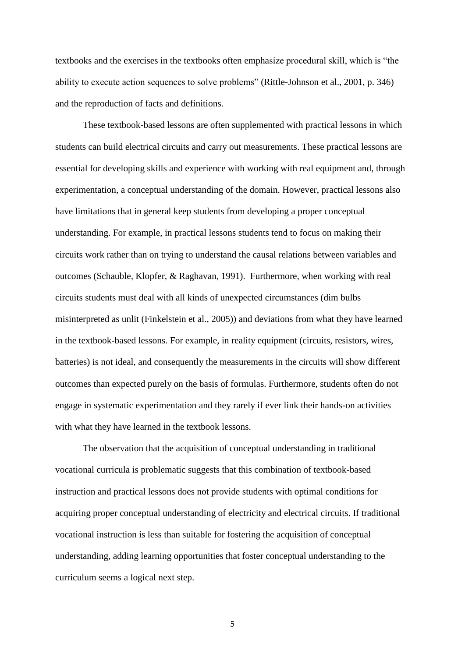textbooks and the exercises in the textbooks often emphasize procedural skill, which is "the ability to execute action sequences to solve problems" (Rittle-Johnson et al., 2001, p. 346) and the reproduction of facts and definitions.

These textbook-based lessons are often supplemented with practical lessons in which students can build electrical circuits and carry out measurements. These practical lessons are essential for developing skills and experience with working with real equipment and, through experimentation, a conceptual understanding of the domain. However, practical lessons also have limitations that in general keep students from developing a proper conceptual understanding. For example, in practical lessons students tend to focus on making their circuits work rather than on trying to understand the causal relations between variables and outcomes (Schauble, Klopfer, & Raghavan, 1991). Furthermore, when working with real circuits students must deal with all kinds of unexpected circumstances (dim bulbs misinterpreted as unlit (Finkelstein et al., 2005)) and deviations from what they have learned in the textbook-based lessons. For example, in reality equipment (circuits, resistors, wires, batteries) is not ideal, and consequently the measurements in the circuits will show different outcomes than expected purely on the basis of formulas. Furthermore, students often do not engage in systematic experimentation and they rarely if ever link their hands-on activities with what they have learned in the textbook lessons.

The observation that the acquisition of conceptual understanding in traditional vocational curricula is problematic suggests that this combination of textbook-based instruction and practical lessons does not provide students with optimal conditions for acquiring proper conceptual understanding of electricity and electrical circuits. If traditional vocational instruction is less than suitable for fostering the acquisition of conceptual understanding, adding learning opportunities that foster conceptual understanding to the curriculum seems a logical next step.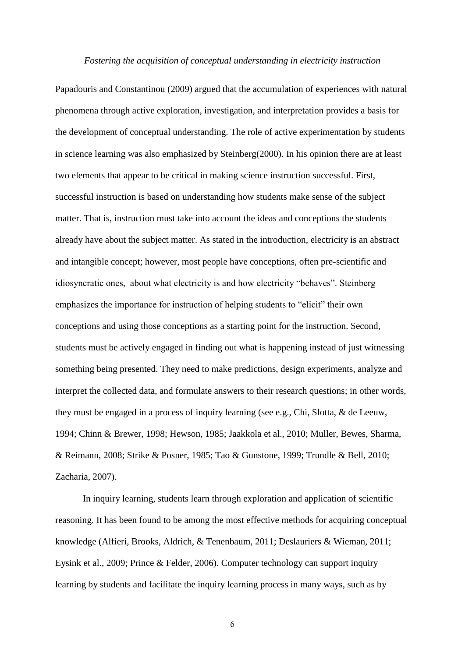#### *Fostering the acquisition of conceptual understanding in electricity instruction*

Papadouris and Constantinou (2009) argued that the accumulation of experiences with natural phenomena through active exploration, investigation, and interpretation provides a basis for the development of conceptual understanding. The role of active experimentation by students in science learning was also emphasized by Steinberg(2000). In his opinion there are at least two elements that appear to be critical in making science instruction successful. First, successful instruction is based on understanding how students make sense of the subject matter. That is, instruction must take into account the ideas and conceptions the students already have about the subject matter. As stated in the introduction, electricity is an abstract and intangible concept; however, most people have conceptions, often pre-scientific and idiosyncratic ones, about what electricity is and how electricity "behaves". Steinberg emphasizes the importance for instruction of helping students to "elicit" their own conceptions and using those conceptions as a starting point for the instruction. Second, students must be actively engaged in finding out what is happening instead of just witnessing something being presented. They need to make predictions, design experiments, analyze and interpret the collected data, and formulate answers to their research questions; in other words, they must be engaged in a process of inquiry learning (see e.g., Chi, Slotta, & de Leeuw, 1994; Chinn & Brewer, 1998; Hewson, 1985; Jaakkola et al., 2010; Muller, Bewes, Sharma, & Reimann, 2008; Strike & Posner, 1985; Tao & Gunstone, 1999; Trundle & Bell, 2010; Zacharia, 2007).

In inquiry learning, students learn through exploration and application of scientific reasoning. It has been found to be among the most effective methods for acquiring conceptual knowledge (Alfieri, Brooks, Aldrich, & Tenenbaum, 2011; Deslauriers & Wieman, 2011; Eysink et al., 2009; Prince & Felder, 2006). Computer technology can support inquiry learning by students and facilitate the inquiry learning process in many ways, such as by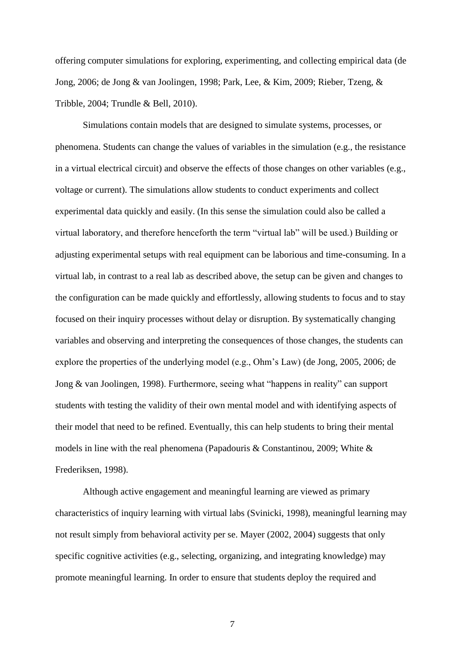offering computer simulations for exploring, experimenting, and collecting empirical data (de Jong, 2006; de Jong & van Joolingen, 1998; Park, Lee, & Kim, 2009; Rieber, Tzeng, & Tribble, 2004; Trundle & Bell, 2010).

Simulations contain models that are designed to simulate systems, processes, or phenomena. Students can change the values of variables in the simulation (e.g., the resistance in a virtual electrical circuit) and observe the effects of those changes on other variables (e.g., voltage or current). The simulations allow students to conduct experiments and collect experimental data quickly and easily. (In this sense the simulation could also be called a virtual laboratory, and therefore henceforth the term "virtual lab" will be used.) Building or adjusting experimental setups with real equipment can be laborious and time-consuming. In a virtual lab, in contrast to a real lab as described above, the setup can be given and changes to the configuration can be made quickly and effortlessly, allowing students to focus and to stay focused on their inquiry processes without delay or disruption. By systematically changing variables and observing and interpreting the consequences of those changes, the students can explore the properties of the underlying model (e.g., Ohm's Law) (de Jong, 2005, 2006; de Jong & van Joolingen, 1998). Furthermore, seeing what "happens in reality" can support students with testing the validity of their own mental model and with identifying aspects of their model that need to be refined. Eventually, this can help students to bring their mental models in line with the real phenomena (Papadouris & Constantinou, 2009; White & Frederiksen, 1998).

Although active engagement and meaningful learning are viewed as primary characteristics of inquiry learning with virtual labs (Svinicki, 1998), meaningful learning may not result simply from behavioral activity per se. Mayer (2002, 2004) suggests that only specific cognitive activities (e.g., selecting, organizing, and integrating knowledge) may promote meaningful learning. In order to ensure that students deploy the required and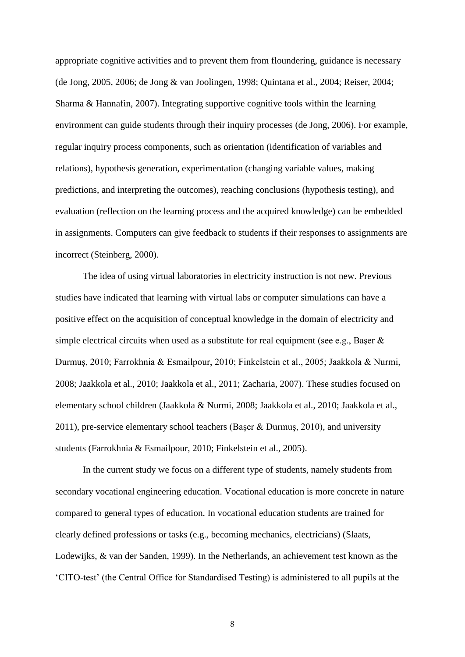appropriate cognitive activities and to prevent them from floundering, guidance is necessary (de Jong, 2005, 2006; de Jong & van Joolingen, 1998; Quintana et al., 2004; Reiser, 2004; Sharma & Hannafin, 2007). Integrating supportive cognitive tools within the learning environment can guide students through their inquiry processes (de Jong, 2006). For example, regular inquiry process components, such as orientation (identification of variables and relations), hypothesis generation, experimentation (changing variable values, making predictions, and interpreting the outcomes), reaching conclusions (hypothesis testing), and evaluation (reflection on the learning process and the acquired knowledge) can be embedded in assignments. Computers can give feedback to students if their responses to assignments are incorrect (Steinberg, 2000).

The idea of using virtual laboratories in electricity instruction is not new. Previous studies have indicated that learning with virtual labs or computer simulations can have a positive effect on the acquisition of conceptual knowledge in the domain of electricity and simple electrical circuits when used as a substitute for real equipment (see e.g., Baser  $\&$ Durmuş, 2010; Farrokhnia & Esmailpour, 2010; Finkelstein et al., 2005; Jaakkola & Nurmi, 2008; Jaakkola et al., 2010; Jaakkola et al., 2011; Zacharia, 2007). These studies focused on elementary school children (Jaakkola & Nurmi, 2008; Jaakkola et al., 2010; Jaakkola et al., 2011), pre-service elementary school teachers (Baser & Durmus, 2010), and university students (Farrokhnia & Esmailpour, 2010; Finkelstein et al., 2005).

In the current study we focus on a different type of students, namely students from secondary vocational engineering education. Vocational education is more concrete in nature compared to general types of education. In vocational education students are trained for clearly defined professions or tasks (e.g., becoming mechanics, electricians) (Slaats, Lodewijks, & van der Sanden, 1999). In the Netherlands, an achievement test known as the 'CITO-test' (the Central Office for Standardised Testing) is administered to all pupils at the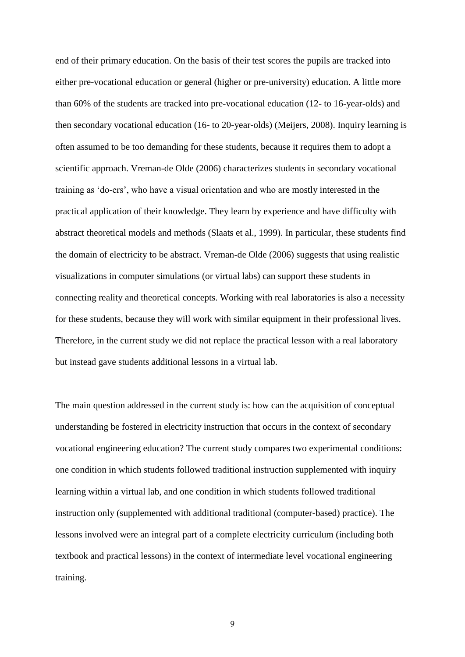end of their primary education. On the basis of their test scores the pupils are tracked into either pre-vocational education or general (higher or pre-university) education. A little more than 60% of the students are tracked into pre-vocational education (12- to 16-year-olds) and then secondary vocational education (16- to 20-year-olds) (Meijers, 2008). Inquiry learning is often assumed to be too demanding for these students, because it requires them to adopt a scientific approach. Vreman-de Olde (2006) characterizes students in secondary vocational training as 'do-ers', who have a visual orientation and who are mostly interested in the practical application of their knowledge. They learn by experience and have difficulty with abstract theoretical models and methods (Slaats et al., 1999). In particular, these students find the domain of electricity to be abstract. Vreman-de Olde (2006) suggests that using realistic visualizations in computer simulations (or virtual labs) can support these students in connecting reality and theoretical concepts. Working with real laboratories is also a necessity for these students, because they will work with similar equipment in their professional lives. Therefore, in the current study we did not replace the practical lesson with a real laboratory but instead gave students additional lessons in a virtual lab.

The main question addressed in the current study is: how can the acquisition of conceptual understanding be fostered in electricity instruction that occurs in the context of secondary vocational engineering education? The current study compares two experimental conditions: one condition in which students followed traditional instruction supplemented with inquiry learning within a virtual lab, and one condition in which students followed traditional instruction only (supplemented with additional traditional (computer-based) practice). The lessons involved were an integral part of a complete electricity curriculum (including both textbook and practical lessons) in the context of intermediate level vocational engineering training.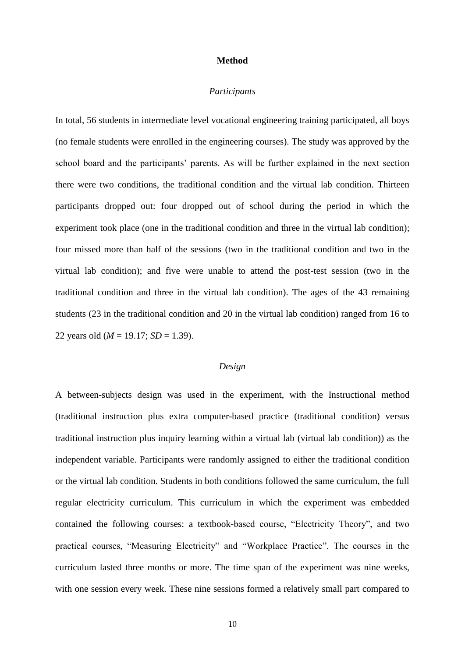#### **Method**

#### *Participants*

In total, 56 students in intermediate level vocational engineering training participated, all boys (no female students were enrolled in the engineering courses). The study was approved by the school board and the participants' parents. As will be further explained in the next section there were two conditions, the traditional condition and the virtual lab condition. Thirteen participants dropped out: four dropped out of school during the period in which the experiment took place (one in the traditional condition and three in the virtual lab condition); four missed more than half of the sessions (two in the traditional condition and two in the virtual lab condition); and five were unable to attend the post-test session (two in the traditional condition and three in the virtual lab condition). The ages of the 43 remaining students (23 in the traditional condition and 20 in the virtual lab condition) ranged from 16 to 22 years old (*M* = 19.17; *SD* = 1.39).

#### *Design*

A between-subjects design was used in the experiment, with the Instructional method (traditional instruction plus extra computer-based practice (traditional condition) versus traditional instruction plus inquiry learning within a virtual lab (virtual lab condition)) as the independent variable. Participants were randomly assigned to either the traditional condition or the virtual lab condition. Students in both conditions followed the same curriculum, the full regular electricity curriculum. This curriculum in which the experiment was embedded contained the following courses: a textbook-based course, "Electricity Theory", and two practical courses, "Measuring Electricity" and "Workplace Practice". The courses in the curriculum lasted three months or more. The time span of the experiment was nine weeks, with one session every week. These nine sessions formed a relatively small part compared to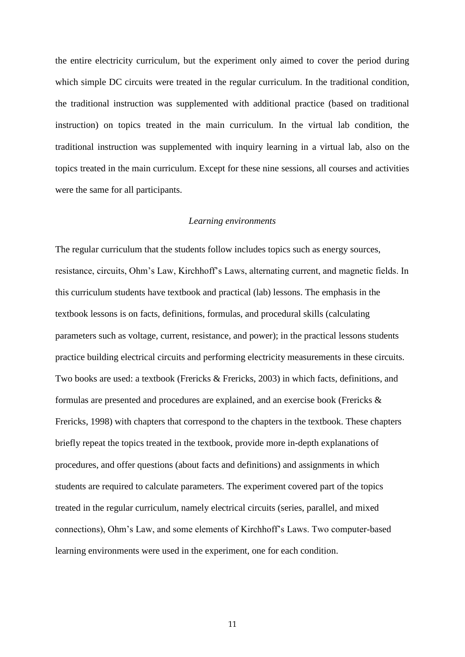the entire electricity curriculum, but the experiment only aimed to cover the period during which simple DC circuits were treated in the regular curriculum. In the traditional condition, the traditional instruction was supplemented with additional practice (based on traditional instruction) on topics treated in the main curriculum. In the virtual lab condition, the traditional instruction was supplemented with inquiry learning in a virtual lab, also on the topics treated in the main curriculum. Except for these nine sessions, all courses and activities were the same for all participants.

## *Learning environments*

The regular curriculum that the students follow includes topics such as energy sources, resistance, circuits, Ohm's Law, Kirchhoff's Laws, alternating current, and magnetic fields. In this curriculum students have textbook and practical (lab) lessons. The emphasis in the textbook lessons is on facts, definitions, formulas, and procedural skills (calculating parameters such as voltage, current, resistance, and power); in the practical lessons students practice building electrical circuits and performing electricity measurements in these circuits. Two books are used: a textbook (Frericks & Frericks, 2003) in which facts, definitions, and formulas are presented and procedures are explained, and an exercise book (Frericks & Frericks, 1998) with chapters that correspond to the chapters in the textbook. These chapters briefly repeat the topics treated in the textbook, provide more in-depth explanations of procedures, and offer questions (about facts and definitions) and assignments in which students are required to calculate parameters. The experiment covered part of the topics treated in the regular curriculum, namely electrical circuits (series, parallel, and mixed connections), Ohm's Law, and some elements of Kirchhoff's Laws. Two computer-based learning environments were used in the experiment, one for each condition.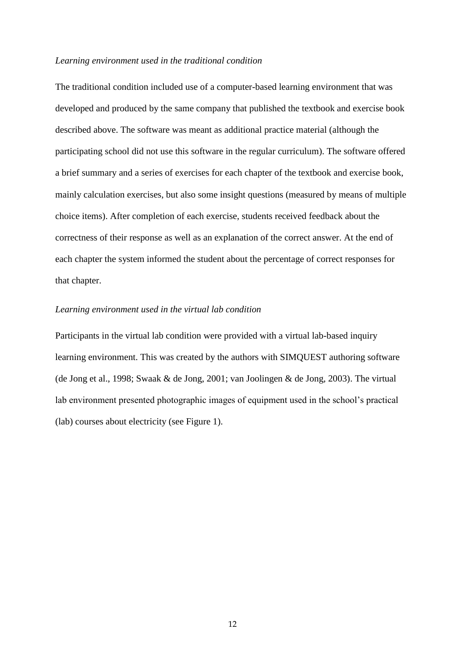## *Learning environment used in the traditional condition*

The traditional condition included use of a computer-based learning environment that was developed and produced by the same company that published the textbook and exercise book described above. The software was meant as additional practice material (although the participating school did not use this software in the regular curriculum). The software offered a brief summary and a series of exercises for each chapter of the textbook and exercise book, mainly calculation exercises, but also some insight questions (measured by means of multiple choice items). After completion of each exercise, students received feedback about the correctness of their response as well as an explanation of the correct answer. At the end of each chapter the system informed the student about the percentage of correct responses for that chapter.

## *Learning environment used in the virtual lab condition*

Participants in the virtual lab condition were provided with a virtual lab-based inquiry learning environment. This was created by the authors with SIMQUEST authoring software (de Jong et al., 1998; Swaak & de Jong, 2001; van Joolingen & de Jong, 2003). The virtual lab environment presented photographic images of equipment used in the school's practical (lab) courses about electricity (see Figure 1).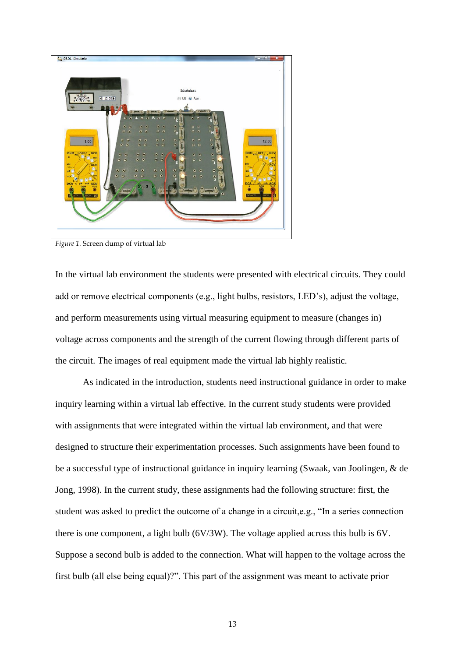

*Figure 1.* Screen dump of virtual lab

In the virtual lab environment the students were presented with electrical circuits. They could add or remove electrical components (e.g., light bulbs, resistors, LED's), adjust the voltage, and perform measurements using virtual measuring equipment to measure (changes in) voltage across components and the strength of the current flowing through different parts of the circuit. The images of real equipment made the virtual lab highly realistic.

As indicated in the introduction, students need instructional guidance in order to make inquiry learning within a virtual lab effective. In the current study students were provided with assignments that were integrated within the virtual lab environment, and that were designed to structure their experimentation processes. Such assignments have been found to be a successful type of instructional guidance in inquiry learning (Swaak, van Joolingen, & de Jong, 1998). In the current study, these assignments had the following structure: first, the student was asked to predict the outcome of a change in a circuit,e.g., "In a series connection there is one component, a light bulb (6V/3W). The voltage applied across this bulb is 6V. Suppose a second bulb is added to the connection. What will happen to the voltage across the first bulb (all else being equal)?". This part of the assignment was meant to activate prior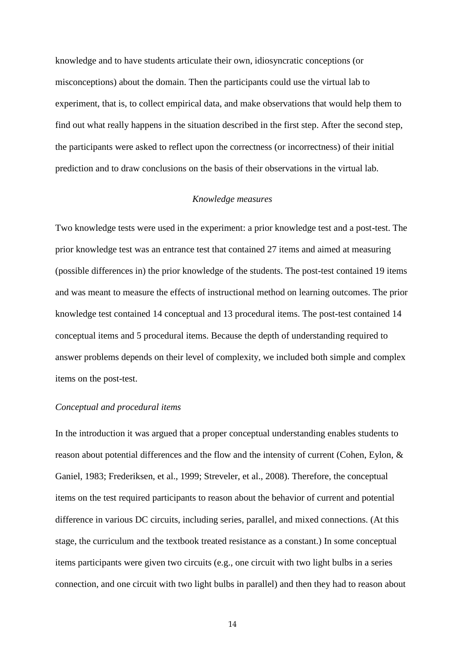knowledge and to have students articulate their own, idiosyncratic conceptions (or misconceptions) about the domain. Then the participants could use the virtual lab to experiment, that is, to collect empirical data, and make observations that would help them to find out what really happens in the situation described in the first step. After the second step, the participants were asked to reflect upon the correctness (or incorrectness) of their initial prediction and to draw conclusions on the basis of their observations in the virtual lab.

#### *Knowledge measures*

Two knowledge tests were used in the experiment: a prior knowledge test and a post-test. The prior knowledge test was an entrance test that contained 27 items and aimed at measuring (possible differences in) the prior knowledge of the students. The post-test contained 19 items and was meant to measure the effects of instructional method on learning outcomes. The prior knowledge test contained 14 conceptual and 13 procedural items. The post-test contained 14 conceptual items and 5 procedural items. Because the depth of understanding required to answer problems depends on their level of complexity, we included both simple and complex items on the post-test.

## *Conceptual and procedural items*

In the introduction it was argued that a proper conceptual understanding enables students to reason about potential differences and the flow and the intensity of current (Cohen, Eylon, & Ganiel, 1983; Frederiksen, et al., 1999; Streveler, et al., 2008). Therefore, the conceptual items on the test required participants to reason about the behavior of current and potential difference in various DC circuits, including series, parallel, and mixed connections. (At this stage, the curriculum and the textbook treated resistance as a constant.) In some conceptual items participants were given two circuits (e.g., one circuit with two light bulbs in a series connection, and one circuit with two light bulbs in parallel) and then they had to reason about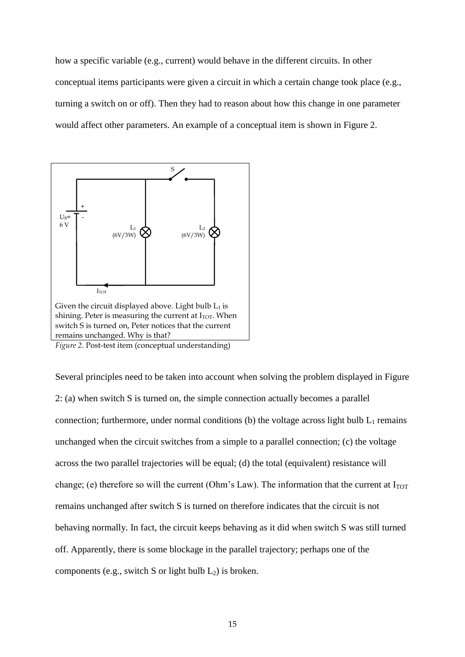how a specific variable (e.g., current) would behave in the different circuits. In other conceptual items participants were given a circuit in which a certain change took place (e.g., turning a switch on or off). Then they had to reason about how this change in one parameter would affect other parameters. An example of a conceptual item is shown in Figure 2.



*Figure 2*. Post-test item (conceptual understanding)

Several principles need to be taken into account when solving the problem displayed in Figure 2: (a) when switch S is turned on, the simple connection actually becomes a parallel connection; furthermore, under normal conditions (b) the voltage across light bulb  $L_1$  remains unchanged when the circuit switches from a simple to a parallel connection; (c) the voltage across the two parallel trajectories will be equal; (d) the total (equivalent) resistance will change; (e) therefore so will the current (Ohm's Law). The information that the current at  $I_{\text{TOT}}$ remains unchanged after switch S is turned on therefore indicates that the circuit is not behaving normally. In fact, the circuit keeps behaving as it did when switch S was still turned off. Apparently, there is some blockage in the parallel trajectory; perhaps one of the components (e.g., switch S or light bulb  $L_2$ ) is broken.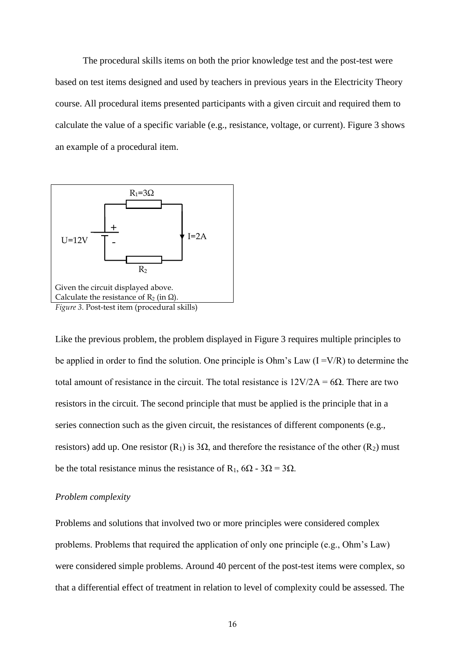The procedural skills items on both the prior knowledge test and the post-test were based on test items designed and used by teachers in previous years in the Electricity Theory course. All procedural items presented participants with a given circuit and required them to calculate the value of a specific variable (e.g., resistance, voltage, or current). Figure 3 shows an example of a procedural item.



Like the previous problem, the problem displayed in Figure 3 requires multiple principles to be applied in order to find the solution. One principle is Ohm's Law  $(I = V/R)$  to determine the total amount of resistance in the circuit. The total resistance is  $12V/2A = 6\Omega$ . There are two resistors in the circuit. The second principle that must be applied is the principle that in a series connection such as the given circuit, the resistances of different components (e.g., resistors) add up. One resistor  $(R_1)$  is 3 $\Omega$ , and therefore the resistance of the other  $(R_2)$  must be the total resistance minus the resistance of R<sub>1</sub>,  $6\Omega$  -  $3\Omega$  =  $3\Omega$ .

#### *Problem complexity*

Problems and solutions that involved two or more principles were considered complex problems. Problems that required the application of only one principle (e.g., Ohm's Law) were considered simple problems. Around 40 percent of the post-test items were complex, so that a differential effect of treatment in relation to level of complexity could be assessed. The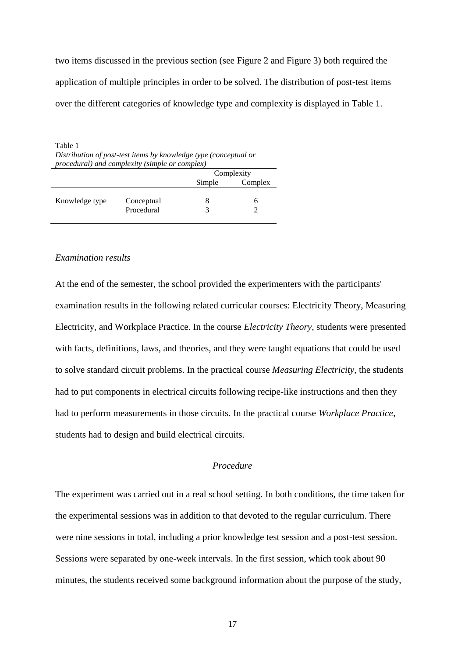two items discussed in the previous section (see Figure 2 and Figure 3) both required the application of multiple principles in order to be solved. The distribution of post-test items over the different categories of knowledge type and complexity is displayed in Table 1.

Table 1 *Distribution of post-test items by knowledge type (conceptual or procedural) and complexity (simple or complex)*

|                |                          |        | Complexity |
|----------------|--------------------------|--------|------------|
|                |                          | Simple | Complex    |
| Knowledge type | Conceptual<br>Procedural |        |            |

## *Examination results*

At the end of the semester, the school provided the experimenters with the participants' examination results in the following related curricular courses: Electricity Theory, Measuring Electricity, and Workplace Practice. In the course *Electricity Theory*, students were presented with facts, definitions, laws, and theories, and they were taught equations that could be used to solve standard circuit problems. In the practical course *Measuring Electricity*, the students had to put components in electrical circuits following recipe-like instructions and then they had to perform measurements in those circuits. In the practical course *Workplace Practice*, students had to design and build electrical circuits.

# *Procedure*

The experiment was carried out in a real school setting. In both conditions, the time taken for the experimental sessions was in addition to that devoted to the regular curriculum. There were nine sessions in total, including a prior knowledge test session and a post-test session. Sessions were separated by one-week intervals. In the first session, which took about 90 minutes, the students received some background information about the purpose of the study,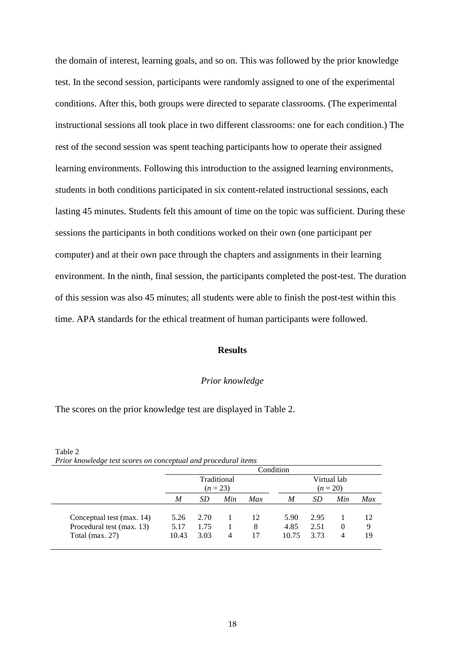the domain of interest, learning goals, and so on. This was followed by the prior knowledge test. In the second session, participants were randomly assigned to one of the experimental conditions. After this, both groups were directed to separate classrooms. (The experimental instructional sessions all took place in two different classrooms: one for each condition.) The rest of the second session was spent teaching participants how to operate their assigned learning environments. Following this introduction to the assigned learning environments, students in both conditions participated in six content-related instructional sessions, each lasting 45 minutes. Students felt this amount of time on the topic was sufficient. During these sessions the participants in both conditions worked on their own (one participant per computer) and at their own pace through the chapters and assignments in their learning environment. In the ninth, final session, the participants completed the post-test. The duration of this session was also 45 minutes; all students were able to finish the post-test within this time. APA standards for the ethical treatment of human participants were followed.

#### **Results**

#### *Prior knowledge*

The scores on the prior knowledge test are displayed in Table 2.

|                           | Condition                 |      |     |     |       |      |                           |     |
|---------------------------|---------------------------|------|-----|-----|-------|------|---------------------------|-----|
|                           | Traditional<br>$(n = 23)$ |      |     |     |       |      | Virtual lab<br>$(n = 20)$ |     |
|                           | M                         | SD   | Min | Max | M     | SD   | Min                       | Max |
| Conceptual test (max. 14) | 5.26                      | 2.70 |     | 12  | 5.90  | 2.95 |                           | 12  |
| Procedural test (max. 13) | 5.17                      | 1.75 |     | 8   | 4.85  | 2.51 | $\Omega$                  | 9   |
| Total (max. $27$ )        | 10.43                     | 3.03 | 4   | 17  | 10.75 | 3.73 | 4                         | 19  |

Table 2 *Prior knowledge test scores on conceptual and procedural items*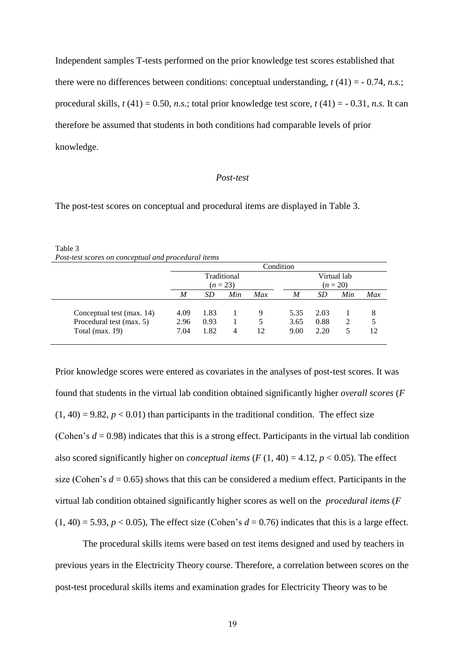Independent samples T-tests performed on the prior knowledge test scores established that there were no differences between conditions: conceptual understanding,  $t(41) = -0.74$ , *n.s.*; procedural skills,  $t(41) = 0.50$ , *n.s.*; total prior knowledge test score,  $t(41) = -0.31$ , *n.s.* It can therefore be assumed that students in both conditions had comparable levels of prior knowledge.

#### *Post-test*

The post-test scores on conceptual and procedural items are displayed in Table 3.

Table 3 *Post-test scores on conceptual and procedural items*

|                           | Condition   |      |     |     |                  |            |             |     |
|---------------------------|-------------|------|-----|-----|------------------|------------|-------------|-----|
|                           | Traditional |      |     |     |                  |            | Virtual lab |     |
|                           | $(n = 23)$  |      |     |     |                  | $(n = 20)$ |             |     |
|                           | M           | SD   | Min | Max | $\boldsymbol{M}$ | SD         | Min         | Max |
|                           |             |      |     |     |                  |            |             |     |
| Conceptual test (max. 14) | 4.09        | 1.83 |     | 9   | 5.35             | 2.03       |             | 8   |
| Procedural test (max. 5)  | 2.96        | 0.93 |     |     | 3.65             | 0.88       | 2           |     |
| Total (max. $19$ )        | 7.04        | 1.82 | 4   | 12  | 9.00             | 2.20       | 5           | 12  |

Prior knowledge scores were entered as covariates in the analyses of post-test scores. It was found that students in the virtual lab condition obtained significantly higher *overall scores* (*F*   $(1, 40) = 9.82$ ,  $p < 0.01$ ) than participants in the traditional condition. The effect size (Cohen's  $d = 0.98$ ) indicates that this is a strong effect. Participants in the virtual lab condition also scored significantly higher on *conceptual items*  $(F(1, 40) = 4.12, p < 0.05)$ . The effect size (Cohen's  $d = 0.65$ ) shows that this can be considered a medium effect. Participants in the virtual lab condition obtained significantly higher scores as well on the *procedural items* (*F*   $(1, 40) = 5.93, p < 0.05$ ), The effect size (Cohen's  $d = 0.76$ ) indicates that this is a large effect.

The procedural skills items were based on test items designed and used by teachers in previous years in the Electricity Theory course. Therefore, a correlation between scores on the post-test procedural skills items and examination grades for Electricity Theory was to be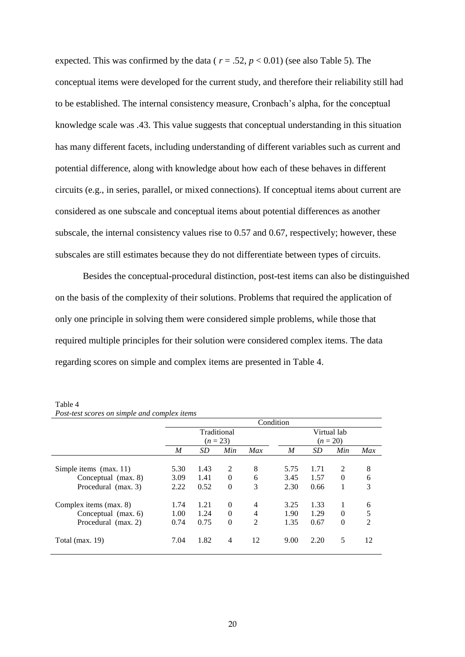expected. This was confirmed by the data ( $r = .52$ ,  $p < 0.01$ ) (see also Table 5). The conceptual items were developed for the current study, and therefore their reliability still had to be established. The internal consistency measure, Cronbach's alpha, for the conceptual knowledge scale was .43. This value suggests that conceptual understanding in this situation has many different facets, including understanding of different variables such as current and potential difference, along with knowledge about how each of these behaves in different circuits (e.g., in series, parallel, or mixed connections). If conceptual items about current are considered as one subscale and conceptual items about potential differences as another subscale, the internal consistency values rise to 0.57 and 0.67, respectively; however, these subscales are still estimates because they do not differentiate between types of circuits.

Besides the conceptual-procedural distinction, post-test items can also be distinguished on the basis of the complexity of their solutions. Problems that required the application of only one principle in solving them were considered simple problems, while those that required multiple principles for their solution were considered complex items. The data regarding scores on simple and complex items are presented in Table 4.

|                        |                                          | Condition |          |                             |      |      |          |                |  |
|------------------------|------------------------------------------|-----------|----------|-----------------------------|------|------|----------|----------------|--|
|                        | Traditional                              |           |          | Virtual lab<br>$(n = 20)$   |      |      |          |                |  |
|                        | $(n=23)$<br>Min<br>M<br><b>SD</b><br>Max |           |          | M<br>SD <sub>-</sub><br>Min |      |      | Max      |                |  |
|                        |                                          |           |          |                             |      |      |          |                |  |
| Simple items (max. 11) | 5.30                                     | 1.43      | 2        | 8                           | 5.75 | 1.71 | 2        | 8              |  |
| Conceptual (max. 8)    | 3.09                                     | 1.41      | $\Omega$ | 6                           | 3.45 | 1.57 | $\Omega$ | 6              |  |
| Procedural (max. 3)    | 2.22                                     | 0.52      | $\theta$ | 3                           | 2.30 | 0.66 | 1        | 3              |  |
| Complex items (max. 8) | 1.74                                     | 1.21      | $\Omega$ | $\overline{4}$              | 3.25 | 1.33 | 1        | 6              |  |
| Conceptual (max. 6)    | 1.00                                     | 1.24      | $\Omega$ | $\overline{4}$              | 1.90 | 1.29 | $\Omega$ | 5              |  |
| Procedural (max. 2)    | 0.74                                     | 0.75      | $\Omega$ | $\overline{2}$              | 1.35 | 0.67 | $\Omega$ | $\mathfrak{D}$ |  |
| Total (max. 19)        | 7.04                                     | 1.82      | 4        | 12                          | 9.00 | 2.20 | 5        | 12             |  |

Table 4 *Post-test scores on simple and complex items*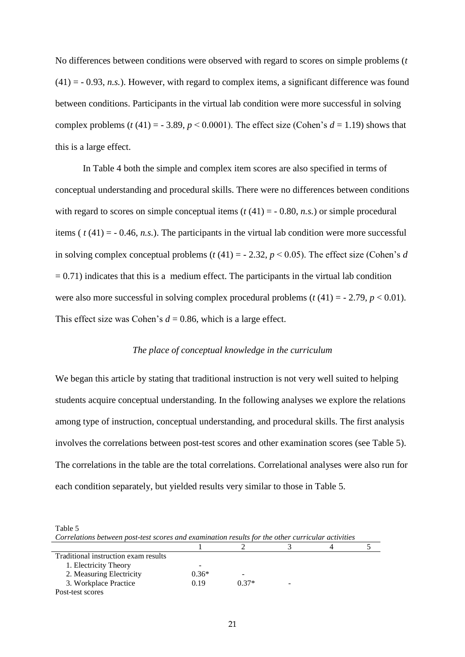No differences between conditions were observed with regard to scores on simple problems (*t*   $(41) = -0.93$ , *n.s.*). However, with regard to complex items, a significant difference was found between conditions. Participants in the virtual lab condition were more successful in solving complex problems ( $t$  (41) = - 3.89,  $p$  < 0.0001). The effect size (Cohen's  $d = 1.19$ ) shows that this is a large effect.

In Table 4 both the simple and complex item scores are also specified in terms of conceptual understanding and procedural skills. There were no differences between conditions with regard to scores on simple conceptual items  $(t(41) = -0.80, n.s.)$  or simple procedural items ( $t(41) = -0.46$ , *n.s.*). The participants in the virtual lab condition were more successful in solving complex conceptual problems ( $t$  (41) = - 2.32,  $p$  < 0.05). The effect size (Cohen's *d*  $= 0.71$ ) indicates that this is a medium effect. The participants in the virtual lab condition were also more successful in solving complex procedural problems  $(t(41) = -2.79, p < 0.01)$ . This effect size was Cohen's  $d = 0.86$ , which is a large effect.

## *The place of conceptual knowledge in the curriculum*

We began this article by stating that traditional instruction is not very well suited to helping students acquire conceptual understanding. In the following analyses we explore the relations among type of instruction, conceptual understanding, and procedural skills. The first analysis involves the correlations between post-test scores and other examination scores (see Table 5). The correlations in the table are the total correlations. Correlational analyses were also run for each condition separately, but yielded results very similar to those in Table 5.

Table 5 *Correlations between post-test scores and examination results for the other curricular activities*

| Traditional instruction exam results |         |         |   |  |
|--------------------------------------|---------|---------|---|--|
| 1. Electricity Theory                |         |         |   |  |
| 2. Measuring Electricity             | $0.36*$ | -       |   |  |
| 3. Workplace Practice                | 0.19    | $0.37*$ | - |  |
| Post-test scores                     |         |         |   |  |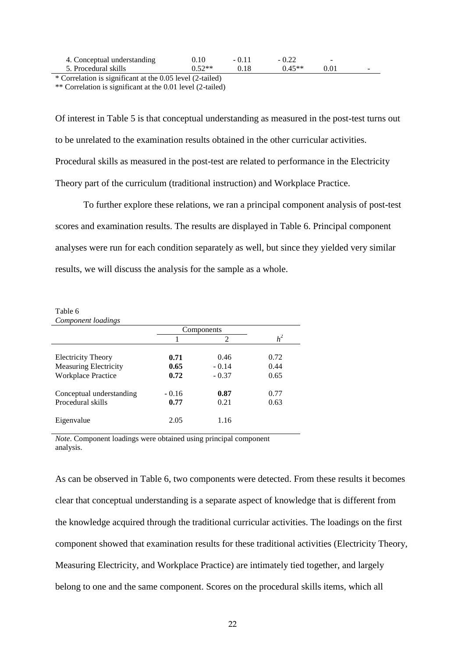| 4. Conceptual understanding | 0.10     |          | <b>CONTRACTOR</b> |  |
|-----------------------------|----------|----------|-------------------|--|
| 5. Procedural skills        | $0.52**$ | $0.45**$ |                   |  |

\* Correlation is significant at the 0.05 level (2-tailed)

\*\* Correlation is significant at the 0.01 level (2-tailed)

Of interest in Table 5 is that conceptual understanding as measured in the post-test turns out to be unrelated to the examination results obtained in the other curricular activities. Procedural skills as measured in the post-test are related to performance in the Electricity Theory part of the curriculum (traditional instruction) and Workplace Practice.

To further explore these relations, we ran a principal component analysis of post-test scores and examination results. The results are displayed in Table 6. Principal component analyses were run for each condition separately as well, but since they yielded very similar results, we will discuss the analysis for the sample as a whole.

# Table 6

| Component loadings           |            |                |                |
|------------------------------|------------|----------------|----------------|
|                              | Components |                |                |
|                              |            | $\mathfrak{D}$ | h <sup>2</sup> |
| <b>Electricity Theory</b>    | 0.71       | 0.46           | 0.72           |
| <b>Measuring Electricity</b> | 0.65       | $-0.14$        | 0.44           |
| Workplace Practice           | 0.72       | $-0.37$        | 0.65           |
| Conceptual understanding     | $-0.16$    | 0.87           | 0.77           |
| Procedural skills            | 0.77       | 0.21           | 0.63           |
| Eigenvalue                   | 2.05       | 1.16           |                |

*Note*. Component loadings were obtained using principal component analysis.

As can be observed in Table 6, two components were detected. From these results it becomes clear that conceptual understanding is a separate aspect of knowledge that is different from the knowledge acquired through the traditional curricular activities. The loadings on the first component showed that examination results for these traditional activities (Electricity Theory, Measuring Electricity, and Workplace Practice) are intimately tied together, and largely belong to one and the same component. Scores on the procedural skills items, which all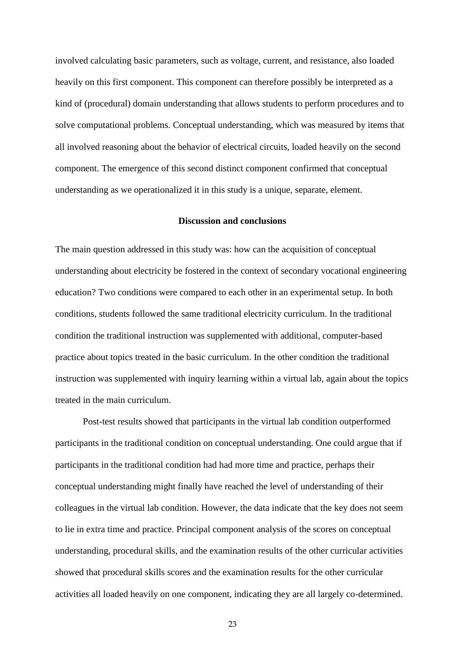involved calculating basic parameters, such as voltage, current, and resistance, also loaded heavily on this first component. This component can therefore possibly be interpreted as a kind of (procedural) domain understanding that allows students to perform procedures and to solve computational problems. Conceptual understanding, which was measured by items that all involved reasoning about the behavior of electrical circuits, loaded heavily on the second component. The emergence of this second distinct component confirmed that conceptual understanding as we operationalized it in this study is a unique, separate, element.

# **Discussion and conclusions**

The main question addressed in this study was: how can the acquisition of conceptual understanding about electricity be fostered in the context of secondary vocational engineering education? Two conditions were compared to each other in an experimental setup. In both conditions, students followed the same traditional electricity curriculum. In the traditional condition the traditional instruction was supplemented with additional, computer-based practice about topics treated in the basic curriculum. In the other condition the traditional instruction was supplemented with inquiry learning within a virtual lab, again about the topics treated in the main curriculum.

Post-test results showed that participants in the virtual lab condition outperformed participants in the traditional condition on conceptual understanding. One could argue that if participants in the traditional condition had had more time and practice, perhaps their conceptual understanding might finally have reached the level of understanding of their colleagues in the virtual lab condition. However, the data indicate that the key does not seem to lie in extra time and practice. Principal component analysis of the scores on conceptual understanding, procedural skills, and the examination results of the other curricular activities showed that procedural skills scores and the examination results for the other curricular activities all loaded heavily on one component, indicating they are all largely co-determined.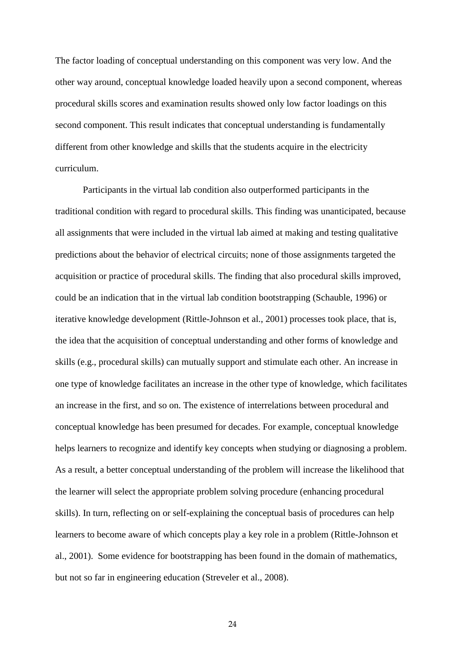The factor loading of conceptual understanding on this component was very low. And the other way around, conceptual knowledge loaded heavily upon a second component, whereas procedural skills scores and examination results showed only low factor loadings on this second component. This result indicates that conceptual understanding is fundamentally different from other knowledge and skills that the students acquire in the electricity curriculum.

Participants in the virtual lab condition also outperformed participants in the traditional condition with regard to procedural skills. This finding was unanticipated, because all assignments that were included in the virtual lab aimed at making and testing qualitative predictions about the behavior of electrical circuits; none of those assignments targeted the acquisition or practice of procedural skills. The finding that also procedural skills improved, could be an indication that in the virtual lab condition bootstrapping (Schauble, 1996) or iterative knowledge development (Rittle-Johnson et al., 2001) processes took place, that is, the idea that the acquisition of conceptual understanding and other forms of knowledge and skills (e.g., procedural skills) can mutually support and stimulate each other. An increase in one type of knowledge facilitates an increase in the other type of knowledge, which facilitates an increase in the first, and so on. The existence of interrelations between procedural and conceptual knowledge has been presumed for decades. For example, conceptual knowledge helps learners to recognize and identify key concepts when studying or diagnosing a problem. As a result, a better conceptual understanding of the problem will increase the likelihood that the learner will select the appropriate problem solving procedure (enhancing procedural skills). In turn, reflecting on or self-explaining the conceptual basis of procedures can help learners to become aware of which concepts play a key role in a problem (Rittle-Johnson et al., 2001). Some evidence for bootstrapping has been found in the domain of mathematics, but not so far in engineering education (Streveler et al., 2008).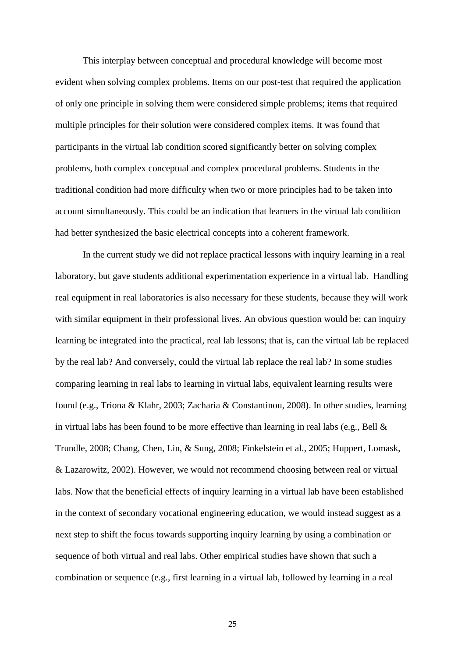This interplay between conceptual and procedural knowledge will become most evident when solving complex problems. Items on our post-test that required the application of only one principle in solving them were considered simple problems; items that required multiple principles for their solution were considered complex items. It was found that participants in the virtual lab condition scored significantly better on solving complex problems, both complex conceptual and complex procedural problems. Students in the traditional condition had more difficulty when two or more principles had to be taken into account simultaneously. This could be an indication that learners in the virtual lab condition had better synthesized the basic electrical concepts into a coherent framework.

In the current study we did not replace practical lessons with inquiry learning in a real laboratory, but gave students additional experimentation experience in a virtual lab. Handling real equipment in real laboratories is also necessary for these students, because they will work with similar equipment in their professional lives. An obvious question would be: can inquiry learning be integrated into the practical, real lab lessons; that is, can the virtual lab be replaced by the real lab? And conversely, could the virtual lab replace the real lab? In some studies comparing learning in real labs to learning in virtual labs, equivalent learning results were found (e.g., Triona & Klahr, 2003; Zacharia & Constantinou, 2008). In other studies, learning in virtual labs has been found to be more effective than learning in real labs (e.g., Bell  $\&$ Trundle, 2008; Chang, Chen, Lin, & Sung, 2008; Finkelstein et al., 2005; Huppert, Lomask, & Lazarowitz, 2002). However, we would not recommend choosing between real or virtual labs. Now that the beneficial effects of inquiry learning in a virtual lab have been established in the context of secondary vocational engineering education, we would instead suggest as a next step to shift the focus towards supporting inquiry learning by using a combination or sequence of both virtual and real labs. Other empirical studies have shown that such a combination or sequence (e.g., first learning in a virtual lab, followed by learning in a real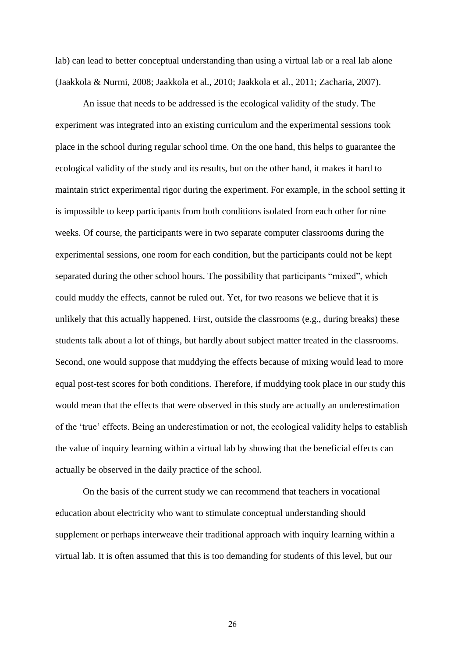lab) can lead to better conceptual understanding than using a virtual lab or a real lab alone (Jaakkola & Nurmi, 2008; Jaakkola et al., 2010; Jaakkola et al., 2011; Zacharia, 2007).

An issue that needs to be addressed is the ecological validity of the study. The experiment was integrated into an existing curriculum and the experimental sessions took place in the school during regular school time. On the one hand, this helps to guarantee the ecological validity of the study and its results, but on the other hand, it makes it hard to maintain strict experimental rigor during the experiment. For example, in the school setting it is impossible to keep participants from both conditions isolated from each other for nine weeks. Of course, the participants were in two separate computer classrooms during the experimental sessions, one room for each condition, but the participants could not be kept separated during the other school hours. The possibility that participants "mixed", which could muddy the effects, cannot be ruled out. Yet, for two reasons we believe that it is unlikely that this actually happened. First, outside the classrooms (e.g., during breaks) these students talk about a lot of things, but hardly about subject matter treated in the classrooms. Second, one would suppose that muddying the effects because of mixing would lead to more equal post-test scores for both conditions. Therefore, if muddying took place in our study this would mean that the effects that were observed in this study are actually an underestimation of the 'true' effects. Being an underestimation or not, the ecological validity helps to establish the value of inquiry learning within a virtual lab by showing that the beneficial effects can actually be observed in the daily practice of the school.

On the basis of the current study we can recommend that teachers in vocational education about electricity who want to stimulate conceptual understanding should supplement or perhaps interweave their traditional approach with inquiry learning within a virtual lab. It is often assumed that this is too demanding for students of this level, but our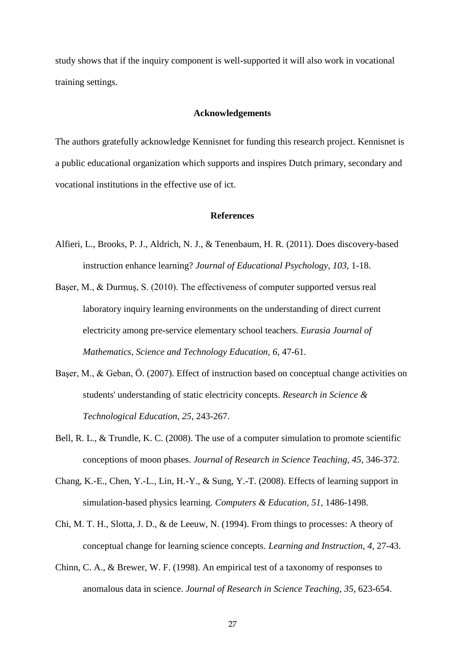study shows that if the inquiry component is well-supported it will also work in vocational training settings.

#### **Acknowledgements**

The authors gratefully acknowledge Kennisnet for funding this research project. Kennisnet is a public educational organization which supports and inspires Dutch primary, secondary and vocational institutions in the effective use of ict.

#### **References**

- Alfieri, L., Brooks, P. J., Aldrich, N. J., & Tenenbaum, H. R. (2011). Does discovery-based instruction enhance learning? *Journal of Educational Psychology, 103*, 1-18.
- Başer, M., & Durmuş, S. (2010). The effectiveness of computer supported versus real laboratory inquiry learning environments on the understanding of direct current electricity among pre-service elementary school teachers. *Eurasia Journal of Mathematics, Science and Technology Education, 6*, 47-61.
- Başer, M., & Geban, Ö. (2007). Effect of instruction based on conceptual change activities on students' understanding of static electricity concepts. *Research in Science & Technological Education, 25*, 243-267.
- Bell, R. L., & Trundle, K. C. (2008). The use of a computer simulation to promote scientific conceptions of moon phases. *Journal of Research in Science Teaching, 45*, 346-372.
- Chang, K.-E., Chen, Y.-L., Lin, H.-Y., & Sung, Y.-T. (2008). Effects of learning support in simulation-based physics learning. *Computers & Education, 51*, 1486-1498.
- Chi, M. T. H., Slotta, J. D., & de Leeuw, N. (1994). From things to processes: A theory of conceptual change for learning science concepts. *Learning and Instruction, 4*, 27-43.
- Chinn, C. A., & Brewer, W. F. (1998). An empirical test of a taxonomy of responses to anomalous data in science. *Journal of Research in Science Teaching, 35*, 623-654.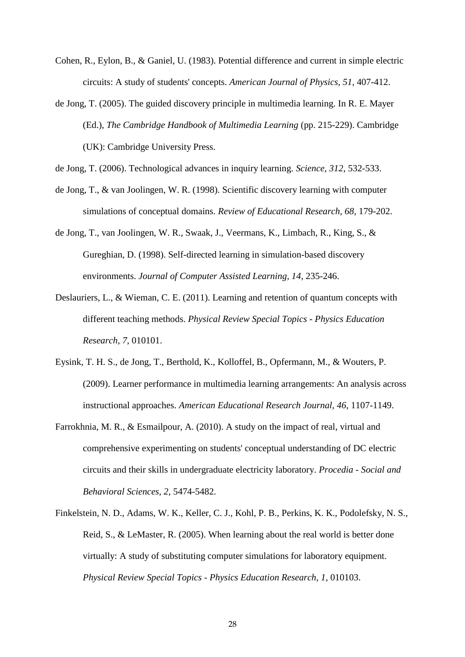- Cohen, R., Eylon, B., & Ganiel, U. (1983). Potential difference and current in simple electric circuits: A study of students' concepts. *American Journal of Physics, 51*, 407-412.
- de Jong, T. (2005). The guided discovery principle in multimedia learning. In R. E. Mayer (Ed.), *The Cambridge Handbook of Multimedia Learning* (pp. 215-229). Cambridge (UK): Cambridge University Press.
- de Jong, T. (2006). Technological advances in inquiry learning. *Science, 312*, 532-533.
- de Jong, T., & van Joolingen, W. R. (1998). Scientific discovery learning with computer simulations of conceptual domains. *Review of Educational Research, 68*, 179-202.
- de Jong, T., van Joolingen, W. R., Swaak, J., Veermans, K., Limbach, R., King, S., & Gureghian, D. (1998). Self-directed learning in simulation-based discovery environments. *Journal of Computer Assisted Learning, 14*, 235-246.
- Deslauriers, L., & Wieman, C. E. (2011). Learning and retention of quantum concepts with different teaching methods. *Physical Review Special Topics - Physics Education Research, 7*, 010101.
- Eysink, T. H. S., de Jong, T., Berthold, K., Kolloffel, B., Opfermann, M., & Wouters, P. (2009). Learner performance in multimedia learning arrangements: An analysis across instructional approaches. *American Educational Research Journal, 46*, 1107-1149.
- Farrokhnia, M. R., & Esmailpour, A. (2010). A study on the impact of real, virtual and comprehensive experimenting on students' conceptual understanding of DC electric circuits and their skills in undergraduate electricity laboratory. *Procedia - Social and Behavioral Sciences, 2*, 5474-5482.
- Finkelstein, N. D., Adams, W. K., Keller, C. J., Kohl, P. B., Perkins, K. K., Podolefsky, N. S., Reid, S., & LeMaster, R. (2005). When learning about the real world is better done virtually: A study of substituting computer simulations for laboratory equipment. *Physical Review Special Topics - Physics Education Research, 1*, 010103.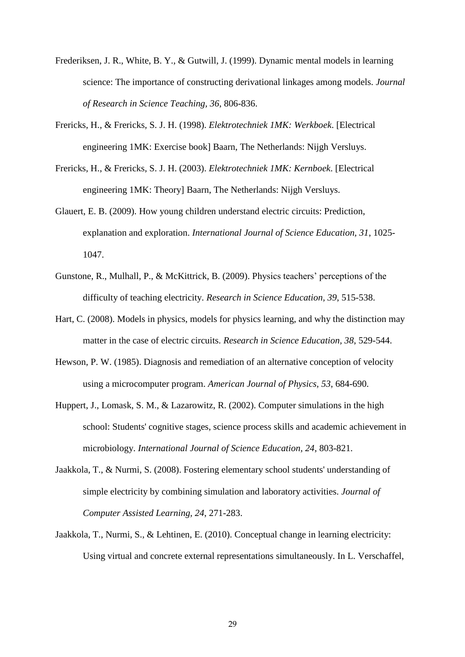- Frederiksen, J. R., White, B. Y., & Gutwill, J. (1999). Dynamic mental models in learning science: The importance of constructing derivational linkages among models. *Journal of Research in Science Teaching, 36*, 806-836.
- Frericks, H., & Frericks, S. J. H. (1998). *Elektrotechniek 1MK: Werkboek*. [Electrical engineering 1MK: Exercise book] Baarn, The Netherlands: Nijgh Versluys.
- Frericks, H., & Frericks, S. J. H. (2003). *Elektrotechniek 1MK: Kernboek*. [Electrical engineering 1MK: Theory] Baarn, The Netherlands: Nijgh Versluys.
- Glauert, E. B. (2009). How young children understand electric circuits: Prediction, explanation and exploration. *International Journal of Science Education, 31*, 1025- 1047.
- Gunstone, R., Mulhall, P., & McKittrick, B. (2009). Physics teachers' perceptions of the difficulty of teaching electricity. *Research in Science Education, 39*, 515-538.
- Hart, C. (2008). Models in physics, models for physics learning, and why the distinction may matter in the case of electric circuits. *Research in Science Education, 38*, 529-544.
- Hewson, P. W. (1985). Diagnosis and remediation of an alternative conception of velocity using a microcomputer program. *American Journal of Physics, 53*, 684-690.
- Huppert, J., Lomask, S. M., & Lazarowitz, R. (2002). Computer simulations in the high school: Students' cognitive stages, science process skills and academic achievement in microbiology. *International Journal of Science Education, 24*, 803-821.
- Jaakkola, T., & Nurmi, S. (2008). Fostering elementary school students' understanding of simple electricity by combining simulation and laboratory activities. *Journal of Computer Assisted Learning, 24*, 271-283.
- Jaakkola, T., Nurmi, S., & Lehtinen, E. (2010). Conceptual change in learning electricity: Using virtual and concrete external representations simultaneously. In L. Verschaffel,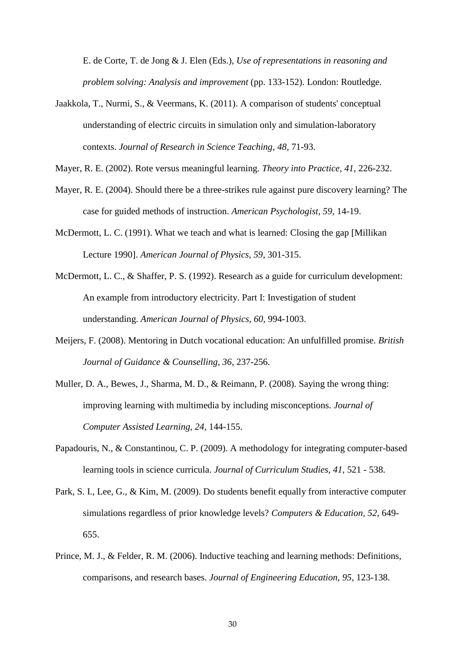E. de Corte, T. de Jong & J. Elen (Eds.), *Use of representations in reasoning and problem solving: Analysis and improvement* (pp. 133-152). London: Routledge.

- Jaakkola, T., Nurmi, S., & Veermans, K. (2011). A comparison of students' conceptual understanding of electric circuits in simulation only and simulation-laboratory contexts. *Journal of Research in Science Teaching, 48*, 71-93.
- Mayer, R. E. (2002). Rote versus meaningful learning. *Theory into Practice, 41*, 226-232.
- Mayer, R. E. (2004). Should there be a three-strikes rule against pure discovery learning? The case for guided methods of instruction. *American Psychologist, 59*, 14-19.
- McDermott, L. C. (1991). What we teach and what is learned: Closing the gap [Millikan Lecture 1990]. *American Journal of Physics, 59*, 301-315.
- McDermott, L. C., & Shaffer, P. S. (1992). Research as a guide for curriculum development: An example from introductory electricity. Part I: Investigation of student understanding. *American Journal of Physics, 60*, 994-1003.
- Meijers, F. (2008). Mentoring in Dutch vocational education: An unfulfilled promise. *British Journal of Guidance & Counselling, 36*, 237-256.
- Muller, D. A., Bewes, J., Sharma, M. D., & Reimann, P. (2008). Saying the wrong thing: improving learning with multimedia by including misconceptions. *Journal of Computer Assisted Learning, 24*, 144-155.
- Papadouris, N., & Constantinou, C. P. (2009). A methodology for integrating computer-based learning tools in science curricula. *Journal of Curriculum Studies, 41*, 521 - 538.
- Park, S. I., Lee, G., & Kim, M. (2009). Do students benefit equally from interactive computer simulations regardless of prior knowledge levels? *Computers & Education, 52*, 649- 655.
- Prince, M. J., & Felder, R. M. (2006). Inductive teaching and learning methods: Definitions, comparisons, and research bases. *Journal of Engineering Education, 95*, 123-138.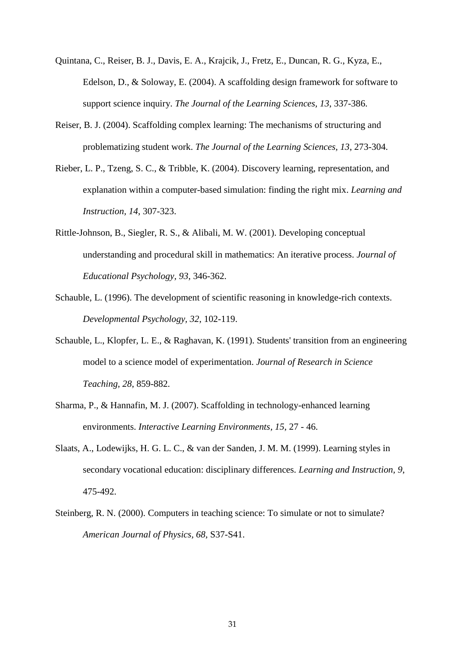- Quintana, C., Reiser, B. J., Davis, E. A., Krajcik, J., Fretz, E., Duncan, R. G., Kyza, E., Edelson, D., & Soloway, E. (2004). A scaffolding design framework for software to support science inquiry. *The Journal of the Learning Sciences, 13*, 337-386.
- Reiser, B. J. (2004). Scaffolding complex learning: The mechanisms of structuring and problematizing student work. *The Journal of the Learning Sciences, 13*, 273-304.
- Rieber, L. P., Tzeng, S. C., & Tribble, K. (2004). Discovery learning, representation, and explanation within a computer-based simulation: finding the right mix. *Learning and Instruction, 14*, 307-323.
- Rittle-Johnson, B., Siegler, R. S., & Alibali, M. W. (2001). Developing conceptual understanding and procedural skill in mathematics: An iterative process. *Journal of Educational Psychology, 93*, 346-362.
- Schauble, L. (1996). The development of scientific reasoning in knowledge-rich contexts. *Developmental Psychology, 32*, 102-119.
- Schauble, L., Klopfer, L. E., & Raghavan, K. (1991). Students' transition from an engineering model to a science model of experimentation. *Journal of Research in Science Teaching, 28*, 859-882.
- Sharma, P., & Hannafin, M. J. (2007). Scaffolding in technology-enhanced learning environments. *Interactive Learning Environments, 15*, 27 - 46.
- Slaats, A., Lodewijks, H. G. L. C., & van der Sanden, J. M. M. (1999). Learning styles in secondary vocational education: disciplinary differences. *Learning and Instruction, 9*, 475-492.
- Steinberg, R. N. (2000). Computers in teaching science: To simulate or not to simulate? *American Journal of Physics, 68*, S37-S41.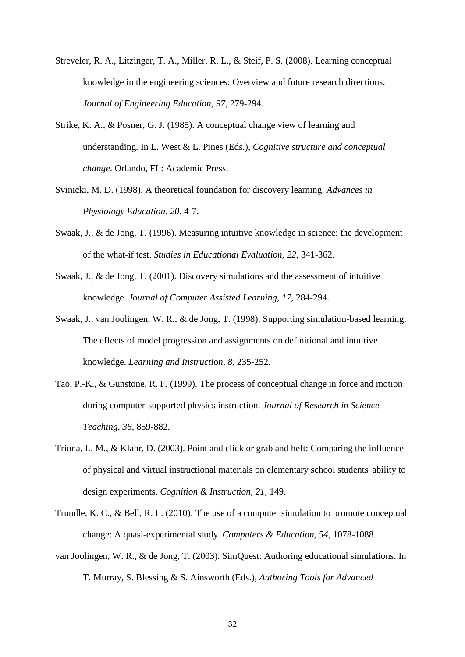- Streveler, R. A., Litzinger, T. A., Miller, R. L., & Steif, P. S. (2008). Learning conceptual knowledge in the engineering sciences: Overview and future research directions. *Journal of Engineering Education, 97*, 279-294.
- Strike, K. A., & Posner, G. J. (1985). A conceptual change view of learning and understanding. In L. West & L. Pines (Eds.), *Cognitive structure and conceptual change*. Orlando, FL: Academic Press.
- Svinicki, M. D. (1998). A theoretical foundation for discovery learning. *Advances in Physiology Education, 20*, 4-7.
- Swaak, J., & de Jong, T. (1996). Measuring intuitive knowledge in science: the development of the what-if test. *Studies in Educational Evaluation, 22*, 341-362.
- Swaak, J., & de Jong, T. (2001). Discovery simulations and the assessment of intuitive knowledge. *Journal of Computer Assisted Learning, 17*, 284-294.
- Swaak, J., van Joolingen, W. R., & de Jong, T. (1998). Supporting simulation-based learning; The effects of model progression and assignments on definitional and intuitive knowledge. *Learning and Instruction, 8*, 235-252.
- Tao, P.-K., & Gunstone, R. F. (1999). The process of conceptual change in force and motion during computer-supported physics instruction. *Journal of Research in Science Teaching, 36*, 859-882.
- Triona, L. M., & Klahr, D. (2003). Point and click or grab and heft: Comparing the influence of physical and virtual instructional materials on elementary school students' ability to design experiments. *Cognition & Instruction, 21*, 149.
- Trundle, K. C., & Bell, R. L. (2010). The use of a computer simulation to promote conceptual change: A quasi-experimental study. *Computers & Education, 54*, 1078-1088.
- van Joolingen, W. R., & de Jong, T. (2003). SimQuest: Authoring educational simulations. In T. Murray, S. Blessing & S. Ainsworth (Eds.), *Authoring Tools for Advanced*